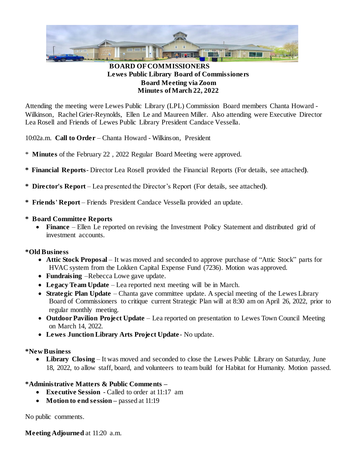

# **BOARD OF COMMISSIONERS Lewes Public Library Board of Commissioners Board Meeting via Zoom Minutes of March 22, 2022**

Attending the meeting were Lewes Public Library (LPL) Commission Board members Chanta Howard - Wilkinson, Rachel Grier-Reynolds, Ellen Le and Maureen Miller. Also attending were Executive Director Lea Rosell and Friends of Lewes Public Library President Candace Vessella.

10:02a.m. **Call to Order** – Chanta Howard - Wilkinson, President

- \* **Minutes** of the February 22 , 2022 Regular Board Meeting were approved.
- **\* Financial Reports** Director Lea Rosell provided the Financial Reports (For details, see attached**)**.
- **\* Director's Report**  Lea presented the Director's Report (For details, see attached**)**.
- **\* Friends' Report** Friends President Candace Vessella provided an update.

## **\* Board Committee Reports**

• Finance – Ellen Le reported on revising the Investment Policy Statement and distributed grid of investment accounts.

## **\*Old Business**

- **Attic Stock Proposal** It was moved and seconded to approve purchase of "Attic Stock" parts for HVAC system from the Lokken Capital Expense Fund (7236). Motion was approved.
- **Fundraising** –Rebecca Lowe gave update.
- **Legacy Team Update** Lea reported next meeting will be in March.
- **Strategic Plan Update** Chanta gave committee update. A special meeting of the Lewes Library Board of Commissioners to critique current Strategic Plan will at 8:30 am on April 26, 2022, prior to regular monthly meeting.
- **Outdoor Pavilion Project Update** Lea reported on presentation to Lewes Town Council Meeting on March 14, 2022.
- **Lewes Junction Library Arts Project Update** No update.

## **\*New Business**

• Library Closing – It was moved and seconded to close the Lewes Public Library on Saturday, June 18, 2022, to allow staff, board, and volunteers to team build for Habitat for Humanity. Motion passed.

## **\*Administrative Matters & Public Comments –**

- **Executive Session**  Called to order at 11:17 am
- **Motion to end session** passed at 11:19

No public comments.

**Meeting Adjourned** at 11:20 a.m.